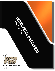

## VANGUARD STEEL LTD.

2016 MASTER

2016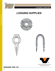

LOGGING SUPPLIES

## **LOGGING SUPPLIES**









www.vanguardsteelvancouver.com www.vanguardsteel.com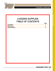

 $\overline{\phantom{a}}$ 

 $\overline{\phantom{a}}$  $\overline{\phantom{a}}$  $\overline{\phantom{a}}$  $\overline{\phantom{a}}$  $\overline{\phantom{a}}$  $\overline{\phantom{a}}$  $\overline{\phantom{a}}$  $\overline{\phantom{a}}$  $\overline{\phantom{a}}$  $\overline{\phantom{a}}$  $\overline{\phantom{a}}$  $\overline{\phantom{a}}$  $\overline{\phantom{a}}$  $\overline{\phantom{a}}$  $\overline{\phantom{a}}$  $\overline{\phantom{a}}$  $\overline{\phantom{a}}$  $\overline{\phantom{a}}$  $\overline{\phantom{a}}$  $\overline{\phantom{a}}$  $\overline{\phantom{a}}$  $\overline{\phantom{a}}$  $\overline{\phantom{a}}$  $\overline{\phantom{a}}$  $\overline{\phantom{a}}$  $\overline{\phantom{a}}$  $\overline{\phantom{a}}$  $\overline{\phantom{a}}$  $\overline{\phantom{a}}$ 

## LOGGING SUPPLIES TABLE OF CONTENTS

|                       | Page |
|-----------------------|------|
| <b>Log Staples</b>    |      |
| <b>Rafting Dogs</b>   |      |
| <b>Timber Washers</b> |      |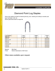

## Diamond Point Log Staples

Heavy duty staples are ideal for fastening fencing, wire, meshing and netting to wooden post logs, log barges, rails, etc.

Electro galvanized steel for longer life.



| <b>Log Staples</b> | Inside     | Weight | Product  |
|--------------------|------------|--------|----------|
| Size (in.)         | Length     | lbs/pc | Code     |
| 3/8 X 4"           | 4"         | 0.25   | 29972440 |
| 3/8 X 4-1/2"       | $4 - 1/2"$ | 0.28   | 29972445 |
| $3/8 \times 5"$    | 5"         | 0.31   | 29972450 |
| $1/2 \times 4"$    | 4"         | 0.56   | 29973240 |
| $1/2$ X 4-1/2"     | $4 - 1/2"$ | 0.63   | 29973245 |
| $1/2 \times 5$ "   | 5"         | 0.70   | 29973250 |
| $1/2 \times 6"$    | 6"         | 0.84   | 29973260 |

Material Mild Steel

Finish: Electro Galvanized or Self Colour

### Other sizes available upon request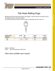

## Flat Head Rafting Dogs

Rafting dogs with flat hammering heads, drop forged, in various sizes are commonly used in the logging industry to keep logs together.

They are hammered into logs to provide a place for attaching wire rope, chain, etc.



| <b>Rafting Dogs</b> | Hole<br>Length |             | Weight |        |  | Product  |
|---------------------|----------------|-------------|--------|--------|--|----------|
| Size (in.)          |                | Dia.        |        | lbs/pc |  | Code     |
| 1/2"                | 6"             | $1 - 3/16"$ |        | 0.63   |  | 29960032 |
| 5/8"                | $6 - 1/2"$     | $1 - 7/16"$ |        | 0.95   |  | 29960040 |

Material Mild Steel Finish: Electro Galvanized or Self Colour

## Other sizes available upon request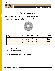

## LOGGING SUPPLIES

## Timber Washers

Malleable round washers are used in various types of wood construction. These oversized washers have a large bearing surface designed to prevent heads and nuts from pulling into the wood.



| <b>Timber Washers</b> | Hole        | Outer        | <b>Thickness</b> | Weight |  | Product  |
|-----------------------|-------------|--------------|------------------|--------|--|----------|
| Size (in.)            | <b>Size</b> | Diameter     |                  | lbs/pc |  | Code     |
| 1/2"                  | 1/2"        | $2 - 1/2"$   | 1/4"             | 0.37   |  | 29720032 |
| 5/8"                  | 5/8"        | $2 - 5/8"$   | 1/4"             | 0.44   |  | 29720040 |
| 3/4"                  | 3/4"        | $2 - 15/16"$ | 3/8"             | 0.50   |  | 29720048 |
| 7/8"                  | 7/8"        | 3-9/16"      | 1/2"             | 0.95   |  | 29720056 |
| 1"                    | 1"          | $3 - 3/4"$   | 1/2"             | 1.50   |  | 29720100 |

Material Malleable Steel Finish: Hot Dip Galvanized

### Other sizes available upon request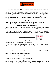

#### **General Warnings**

All Vanguard rigging products are sold with the express understanding that both the purchaser and the end user are thoroughly familiar with the safe, proper and acceptable applications of the products.

It is the responsibility of the end user to establish proper safety programs and to provide thorough training for all personnel prior to use. The training programs must meet any federal/provincial/state/local code requirements, existing plant/site safety rules and regulations, and all instructions provided in the applicable section of this catalogue. Product failure can occur due to abuse, misapplication, lack of maintenance, use by unqualified personnel and improper inspection prior to use. Any failure of rigging products may result in property damage, personal injury and even **death!!!!** 

#### **Standards**

There are numerous government and industrial standards that cover rigging products. This catalogue makes no attempt to reference all of them; it references to the standards that are most frequently asked about.

#### **Working Load Limit (WLL) – Safe Working Load (SWL)**

The Working Load Limits shown in this catalogue are applicable to products that are new or "in as new" condition. The Working Load Limits ratings refer to the maximum amount of force or load that the rigging product can carry under normal working/environmental conditions. The Working Load Limits and Design Factory can be affected by wear, misuse, overloading, shock loading, side loading, corrosion, deformation, product alteration and other use conditions. Inspection of rigging products prior to use is required to determine whether the product continues to meet the assigned WLL provided in this catalogue, should be used at a reduced rating or removed from service.

#### The WLL rating must never be exceeded!!!!



#### General information disclaimer

The contents contained in this publication are for general information only.

Although every effort has been made to assure the accuracy of the information at time of print, persons who use the Catalog should note that ratings, laws, rules, and policies change from time to time and that these changes may alter the information contained in this publication.

Vanguard Steel Ltd. assumes no liability for Catalog errors or omissions.

It is the responsibility of each person who uses this Catalog to ascertain current information that pertains to the individual lifting program, particularly with regard to satisfactory safety compliance requirements. Check your Provincial and Local safety standards before any operation or lift is attempted.

It is the responsibility of the person/operator to frequently search for updated reference information.

Do not use lesser than matching Grade components for any lifting application ! Do not use Slings, Chains or Accessories with signs of wear or deformation !

Inspections - Each day before being used, the sling and all fastenings and attachments shall be inspected for damage or defects by a competent person designated by the employer. Additional inspections shall be performed during sling use where service conditions warrant. Damaged or defective slings shall be immediately removed from service.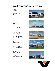## Five Locations to Serve You

Toronto Head Office 2160 Meadowpine Blvd. Mississauga, Ontario L5N 6H6 Phone (905) 821-1100 Fax (905) 821-2024



Montreal 2205 de l'Aviation Dorval, Quebec H9P 2X6 Phone (514) 685-1515 Fax (514) 685-1516

Winnipeg 190 Omands Creek Blvd. Winnipeg, Manitoba R2R 1V7 Phone (204) 694-2259 Fax (204) 633-7230

Edmonton 7606 McIntyre Road, N.W. Edmonton, Alberta T6E 6Z1 Phone (780) 466-1115 Fax (780) 469-4545

Vancouver 7880 Fraser Park Drive Burnaby, BC V5J 5L8 Phone (604) 294-3191 Fax (604) 294-8845